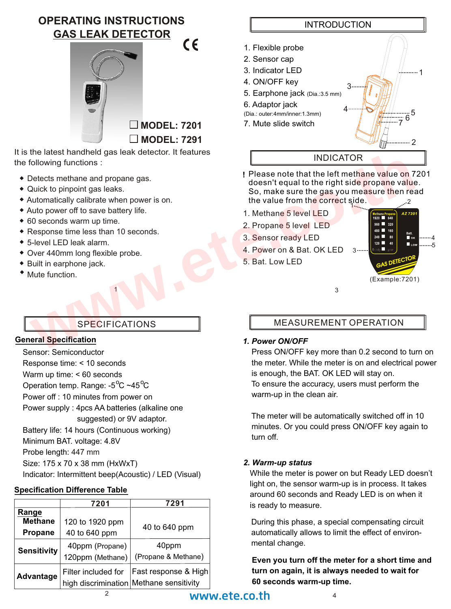**OPERATING INSTRUCTIONS GAS LEAK DETECTOR**  $\epsilon$ 



It is the latest handheld gas leak detector. It features the following functions :

- Detects methane and propane gas.
- Quick to pinpoint gas leaks.
- Automatically calibrate when power is on.
- Auto power off to save battery life.
- 60 seconds warm up time.
- Response time less than 10 seconds.
- $\bullet$  5-level LED leak alarm.
- Over 440mm long flexible probe.
- **\*** Built in earphone jack.
- Mute function.

#### **General Specification**

Sensor: Semiconductor Response time: < 10 seconds Warm up time: < 60 seconds Operation temp. Range:  $-5^{\circ}$ C ~45 $^{\circ}$ C Power off : 10 minutes from power on Power supply : 4pcs AA batteries (alkaline one suggested) or 9V adaptor. Battery life: 14 hours (Continuous working) Minimum BAT. voltage: 4.8V Probe length: 447 mm

Size: 175 x 70 x 38 mm (HxWxT) Indicator: Intermittent beep(Acoustic) / LED (Visual)

### **Specification Difference Table**

|                    | 7201                | 7291                                    |
|--------------------|---------------------|-----------------------------------------|
| Range              |                     |                                         |
| <b>Methane</b>     | 120 to 1920 ppm     | 40 to 640 ppm                           |
| <b>Propane</b>     | 40 to 640 ppm       |                                         |
| <b>Sensitivity</b> | 40ppm (Propane)     | 40ppm                                   |
|                    | 120ppm (Methane)    | (Propane & Methane)                     |
| Advantage          | Filter included for | Fast response & High                    |
|                    |                     | high discrimination Methane sensitivity |



- **!** Please note that the left methane value on 7201 doesn't equal to the right side propane value. So, make sure the gas you measure then read the value from th<mark>e correc</mark>t side. 2 the latest handheld gas leak detector. It features<br>
Collowing functions :<br>
Collowing functions :<br>
Detects method as leaks.<br>
Unit to propoint gas leaks.<br>
Unit to propoint gas leaks.<br>
Unit of propoint gas leaks.<br>
We are the
	- 1. Methane 5 level LED
	- 2. Propane 5 level LED
	- 3. Sensor ready LED
	- 4. Power on & Bat. OK LED 3....
	- 5. Bat. Low LED

1 3



## MEASUREMENT OPERATION

### *1. Power ON/OFF*

 Press ON/OFF key more than 0.2 second to turn on the meter. While the meter is on and electrical power is enough, the BAT. OK LED will stay on. To ensure the accuracy, users must perform the warm-up in the clean air.

 The meter will be automatically switched off in 10 minutes. Or you could press ON/OFF key again to turn off.

#### *2. Warm-up status*

 While the meter is power on but Ready LED doesn't light on, the sensor warm-up is in process. It takes around 60 seconds and Ready LED is on when it is ready to measure.

 During this phase, a special compensating circuit automatically allows to limit the effect of environ mental change.

**Even you turn off the meter for a short time and turn on again, it is always needed to wait for 60 seconds warm-up time.**

# www.ete.co.th